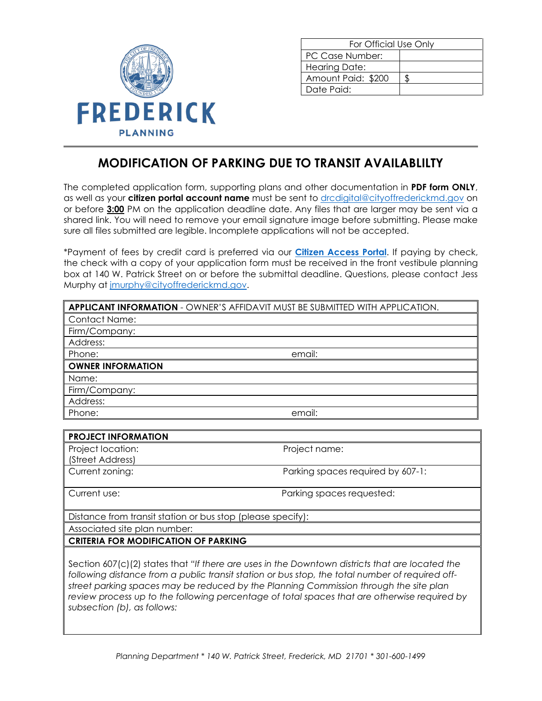

| For Official Use Only |  |
|-----------------------|--|
| PC Case Number:       |  |
| <b>Hearing Date:</b>  |  |
| Amount Paid: \$200    |  |
| Date Paid:            |  |

## **MODIFICATION OF PARKING DUE TO TRANSIT AVAILABLILTY**

The completed application form, supporting plans and other documentation in **PDF form ONLY**, as well as your **citizen portal account name** must be sent to [drcdigital@cityoffrederickmd.gov](mailto:drcdigital@cityoffrederickmd.gov) on or before **3:00** PM on the application deadline date. Any files that are larger may be sent via a shared link. You will need to remove your email signature image before submitting. Please make sure all files submitted are legible. Incomplete applications will not be accepted.

\*Payment of fees by credit card is preferred via our **[Citizen Access Portal](https://gcc02.safelinks.protection.outlook.com/?url=https%3A%2F%2Fcitizenaccess.cityoffrederick.com%2Fcitizenaccess%2F&data=02%7C01%7Cgcollard%40cityoffrederickmd.gov%7Cad3d08217e17487711b308d7d4cd9765%7Cc379f8550dee4b099f890cee3aa7f761%7C0%7C0%7C637211851779890394&sdata=fTC85eZgbuzzFKzq%2Fio%2FHxCILWPquIWiY8bsVzLfTtM%3D&reserved=0)**. If paying by check, the check with a copy of your application form must be received in the front vestibule planning box at 140 W. Patrick Street on or before the submittal deadline. Questions, please contact Jess Murphy at [jmurphy@cityoffrederickmd.gov.](mailto:jmurphy@cityoffrederickmd.gov)

|                            | APPLICANT INFORMATION - OWNER'S AFFIDAVIT MUST BE SUBMITTED WITH APPLICATION. |
|----------------------------|-------------------------------------------------------------------------------|
| <b>Contact Name:</b>       |                                                                               |
| Firm/Company:              |                                                                               |
| Address:                   |                                                                               |
| Phone:                     | email:                                                                        |
| <b>OWNER INFORMATION</b>   |                                                                               |
| Name:                      |                                                                               |
| Firm/Company:              |                                                                               |
| Address:                   |                                                                               |
| Phone:                     | email:                                                                        |
|                            |                                                                               |
| <b>PROJECT INFORMATION</b> |                                                                               |
| Project location:          | Project name:                                                                 |

| Project location:<br>(Street Address) | Project name:                     |
|---------------------------------------|-----------------------------------|
| Current zoning:                       | Parking spaces required by 607-1: |
| Current use:                          | Parking spaces requested:         |

Distance from transit station or bus stop (please specify):

Associated site plan number:

## **CRITERIA FOR MODIFICATION OF PARKING**

Section 607(c)(2) states that *"If there are uses in the Downtown districts that are located the following distance from a public transit station or bus stop, the total number of required offstreet parking spaces may be reduced by the Planning Commission through the site plan review process up to the following percentage of total spaces that are otherwise required by subsection (b), as follows:*